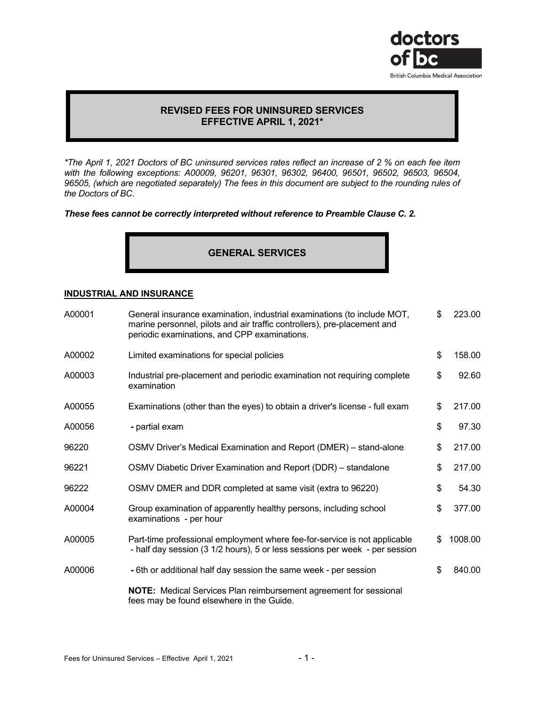

# **REVISED FEES FOR UNINSURED SERVICES EFFECTIVE APRIL 1, 2021\***

*\*The April 1, 2021 Doctors of BC uninsured services rates reflect an increase of 2 % on each fee item with the following exceptions: A00009, 96201, 96301, 96302, 96400, 96501, 96502, 96503, 96504, 96505, (which are negotiated separately) The fees in this document are subject to the rounding rules of the Doctors of BC*.

## *These fees cannot be correctly interpreted without reference to Preamble Clause C. 2.*

# **GENERAL SERVICES**

# **INDUSTRIAL AND INSURANCE**

| A00001 | General insurance examination, industrial examinations (to include MOT,<br>marine personnel, pilots and air traffic controllers), pre-placement and<br>periodic examinations, and CPP examinations. | \$<br>223.00  |
|--------|-----------------------------------------------------------------------------------------------------------------------------------------------------------------------------------------------------|---------------|
| A00002 | Limited examinations for special policies                                                                                                                                                           | \$<br>158.00  |
| A00003 | Industrial pre-placement and periodic examination not requiring complete<br>examination                                                                                                             | \$<br>92.60   |
| A00055 | Examinations (other than the eyes) to obtain a driver's license - full exam                                                                                                                         | \$<br>217.00  |
| A00056 | - partial exam                                                                                                                                                                                      | \$<br>97.30   |
| 96220  | OSMV Driver's Medical Examination and Report (DMER) – stand-alone                                                                                                                                   | \$<br>217.00  |
| 96221  | OSMV Diabetic Driver Examination and Report (DDR) – standalone                                                                                                                                      | \$<br>217.00  |
| 96222  | OSMV DMER and DDR completed at same visit (extra to 96220)                                                                                                                                          | \$<br>54.30   |
| A00004 | Group examination of apparently healthy persons, including school<br>examinations - per hour                                                                                                        | \$<br>377.00  |
| A00005 | Part-time professional employment where fee-for-service is not applicable<br>- half day session (3 1/2 hours), 5 or less sessions per week - per session                                            | \$<br>1008.00 |
| A00006 | -6th or additional half day session the same week - per session                                                                                                                                     | \$<br>840.00  |
|        | <b>NOTE:</b> Medical Services Plan reimbursement agreement for sessional<br>fees may be found elsewhere in the Guide.                                                                               |               |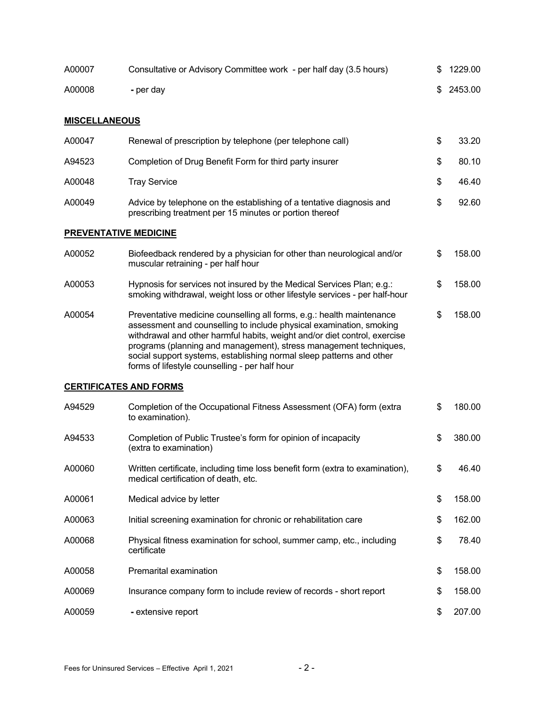| A00007               | Consultative or Advisory Committee work - per half day (3.5 hours)                                                                                                                                                                                                                                                                                                                                                       | 1229.00       |
|----------------------|--------------------------------------------------------------------------------------------------------------------------------------------------------------------------------------------------------------------------------------------------------------------------------------------------------------------------------------------------------------------------------------------------------------------------|---------------|
| A00008               | - per day                                                                                                                                                                                                                                                                                                                                                                                                                | \$<br>2453.00 |
|                      |                                                                                                                                                                                                                                                                                                                                                                                                                          |               |
| <b>MISCELLANEOUS</b> |                                                                                                                                                                                                                                                                                                                                                                                                                          |               |
| A00047               | Renewal of prescription by telephone (per telephone call)                                                                                                                                                                                                                                                                                                                                                                | \$<br>33.20   |
| A94523               | Completion of Drug Benefit Form for third party insurer                                                                                                                                                                                                                                                                                                                                                                  | \$<br>80.10   |
| A00048               | <b>Tray Service</b>                                                                                                                                                                                                                                                                                                                                                                                                      | \$<br>46.40   |
| A00049               | Advice by telephone on the establishing of a tentative diagnosis and<br>prescribing treatment per 15 minutes or portion thereof                                                                                                                                                                                                                                                                                          | \$<br>92.60   |
|                      | <b>PREVENTATIVE MEDICINE</b>                                                                                                                                                                                                                                                                                                                                                                                             |               |
| A00052               | Biofeedback rendered by a physician for other than neurological and/or<br>muscular retraining - per half hour                                                                                                                                                                                                                                                                                                            | \$<br>158.00  |
| A00053               | Hypnosis for services not insured by the Medical Services Plan; e.g.:<br>smoking withdrawal, weight loss or other lifestyle services - per half-hour                                                                                                                                                                                                                                                                     | \$<br>158.00  |
| A00054               | Preventative medicine counselling all forms, e.g.: health maintenance<br>assessment and counselling to include physical examination, smoking<br>withdrawal and other harmful habits, weight and/or diet control, exercise<br>programs (planning and management), stress management techniques,<br>social support systems, establishing normal sleep patterns and other<br>forms of lifestyle counselling - per half hour | \$<br>158.00  |
|                      | <b>CERTIFICATES AND FORMS</b>                                                                                                                                                                                                                                                                                                                                                                                            |               |
| A94529               | Completion of the Occupational Fitness Assessment (OFA) form (extra<br>to examination).                                                                                                                                                                                                                                                                                                                                  | \$<br>180.00  |
| A94533               | Completion of Public Trustee's form for opinion of incapacity<br>(extra to examination)                                                                                                                                                                                                                                                                                                                                  | \$<br>380.00  |
| A00060               | Written certificate, including time loss benefit form (extra to examination),<br>medical certification of death, etc.                                                                                                                                                                                                                                                                                                    | \$<br>46.40   |
| A00061               | Medical advice by letter                                                                                                                                                                                                                                                                                                                                                                                                 | \$<br>158.00  |
| A00063               | Initial screening examination for chronic or rehabilitation care                                                                                                                                                                                                                                                                                                                                                         | \$<br>162.00  |
| A00068               | Physical fitness examination for school, summer camp, etc., including<br>certificate                                                                                                                                                                                                                                                                                                                                     | \$<br>78.40   |
| A00058               | Premarital examination                                                                                                                                                                                                                                                                                                                                                                                                   | \$<br>158.00  |
| A00069               | Insurance company form to include review of records - short report                                                                                                                                                                                                                                                                                                                                                       | \$<br>158.00  |
| A00059               | - extensive report                                                                                                                                                                                                                                                                                                                                                                                                       | \$<br>207.00  |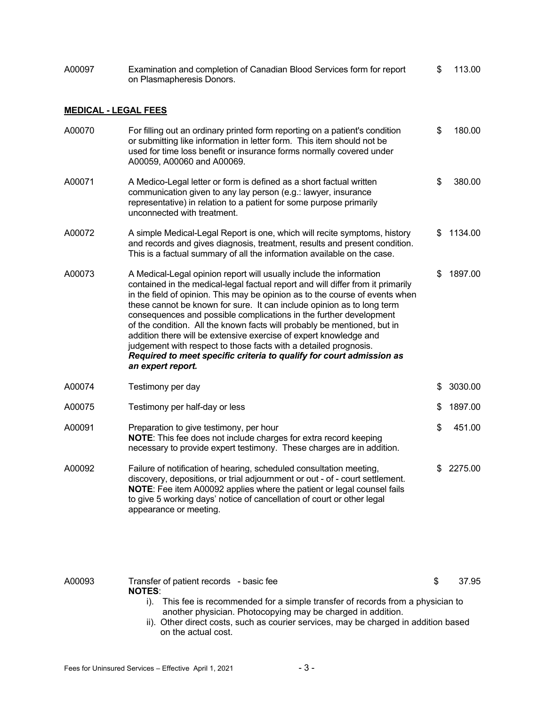| A00097                      | Examination and completion of Canadian Blood Services form for report<br>on Plasmapheresis Donors.                                                                                                                                                                                                                                                                                                                                                                                                                                                                                                                                                                                                       | \$  | 113.00  |
|-----------------------------|----------------------------------------------------------------------------------------------------------------------------------------------------------------------------------------------------------------------------------------------------------------------------------------------------------------------------------------------------------------------------------------------------------------------------------------------------------------------------------------------------------------------------------------------------------------------------------------------------------------------------------------------------------------------------------------------------------|-----|---------|
| <b>MEDICAL - LEGAL FEES</b> |                                                                                                                                                                                                                                                                                                                                                                                                                                                                                                                                                                                                                                                                                                          |     |         |
| A00070                      | For filling out an ordinary printed form reporting on a patient's condition<br>or submitting like information in letter form. This item should not be<br>used for time loss benefit or insurance forms normally covered under<br>A00059, A00060 and A00069.                                                                                                                                                                                                                                                                                                                                                                                                                                              | \$  | 180.00  |
| A00071                      | A Medico-Legal letter or form is defined as a short factual written<br>communication given to any lay person (e.g.: lawyer, insurance<br>representative) in relation to a patient for some purpose primarily<br>unconnected with treatment.                                                                                                                                                                                                                                                                                                                                                                                                                                                              | \$  | 380.00  |
| A00072                      | A simple Medical-Legal Report is one, which will recite symptoms, history<br>and records and gives diagnosis, treatment, results and present condition.<br>This is a factual summary of all the information available on the case.                                                                                                                                                                                                                                                                                                                                                                                                                                                                       | \$. | 1134.00 |
| A00073                      | A Medical-Legal opinion report will usually include the information<br>contained in the medical-legal factual report and will differ from it primarily<br>in the field of opinion. This may be opinion as to the course of events when<br>these cannot be known for sure. It can include opinion as to long term<br>consequences and possible complications in the further development<br>of the condition. All the known facts will probably be mentioned, but in<br>addition there will be extensive exercise of expert knowledge and<br>judgement with respect to those facts with a detailed prognosis.<br>Required to meet specific criteria to qualify for court admission as<br>an expert report. | S   | 1897.00 |
| A00074                      | Testimony per day                                                                                                                                                                                                                                                                                                                                                                                                                                                                                                                                                                                                                                                                                        | \$  | 3030.00 |
| A00075                      | Testimony per half-day or less                                                                                                                                                                                                                                                                                                                                                                                                                                                                                                                                                                                                                                                                           | \$  | 1897.00 |
| A00091                      | Preparation to give testimony, per hour<br>NOTE: This fee does not include charges for extra record keeping<br>necessary to provide expert testimony. These charges are in addition.                                                                                                                                                                                                                                                                                                                                                                                                                                                                                                                     | \$  | 451.00  |
| A00092                      | Failure of notification of hearing, scheduled consultation meeting,<br>discovery, depositions, or trial adjournment or out - of - court settlement.<br>NOTE: Fee item A00092 applies where the patient or legal counsel fails<br>to give 5 working days' notice of cancellation of court or other legal<br>appearance or meeting.                                                                                                                                                                                                                                                                                                                                                                        | S   | 2275.00 |
| A00093                      | Transfer of patient records - basic fee<br><b>NOTES:</b>                                                                                                                                                                                                                                                                                                                                                                                                                                                                                                                                                                                                                                                 | \$  | 37.95   |
|                             | i). This fee is recommended for a simple transfer of records from a physician to<br>another physician. Photocopying may be charged in addition.<br>ii). Other direct costs, such as courier services, may be charged in addition based<br>on the actual cost.                                                                                                                                                                                                                                                                                                                                                                                                                                            |     |         |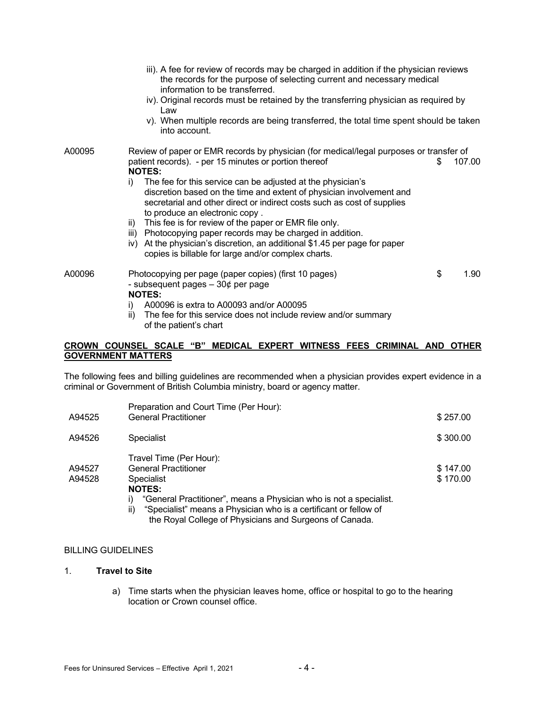|        | iii). A fee for review of records may be charged in addition if the physician reviews<br>the records for the purpose of selecting current and necessary medical<br>information to be transferred.<br>iv). Original records must be retained by the transferring physician as required by<br>Law<br>v). When multiple records are being transferred, the total time spent should be taken<br>into account. |  |
|--------|-----------------------------------------------------------------------------------------------------------------------------------------------------------------------------------------------------------------------------------------------------------------------------------------------------------------------------------------------------------------------------------------------------------|--|
| A00095 | Review of paper or EMR records by physician (for medical/legal purposes or transfer of<br>patient records). - per 15 minutes or portion thereof<br>107.00<br>S<br><b>NOTES:</b>                                                                                                                                                                                                                           |  |
|        | The fee for this service can be adjusted at the physician's<br>i)<br>discretion based on the time and extent of physician involvement and<br>secretarial and other direct or indirect costs such as cost of supplies<br>to produce an electronic copy.                                                                                                                                                    |  |
|        | This fee is for review of the paper or EMR file only.<br>ii)<br>iii) Photocopying paper records may be charged in addition.<br>At the physician's discretion, an additional \$1.45 per page for paper<br>iv)<br>copies is billable for large and/or complex charts.                                                                                                                                       |  |
| A00096 | \$<br>Photocopying per page (paper copies) (first 10 pages)<br>1.90<br>- subsequent pages $-30¢$ per page<br><b>NOTES:</b>                                                                                                                                                                                                                                                                                |  |
|        | A00096 is extra to A00093 and/or A00095<br>i)<br>The fee for this service does not include review and/or summary<br>ii)<br>of the patient's chart                                                                                                                                                                                                                                                         |  |

## **CROWN COUNSEL SCALE "B" MEDICAL EXPERT WITNESS FEES CRIMINAL AND OTHER GOVERNMENT MATTERS**

The following fees and billing guidelines are recommended when a physician provides expert evidence in a criminal or Government of British Columbia ministry, board or agency matter.

| A94525 | Preparation and Court Time (Per Hour):<br><b>General Practitioner</b> | \$257.00 |
|--------|-----------------------------------------------------------------------|----------|
|        |                                                                       |          |
| A94526 | <b>Specialist</b>                                                     | \$300.00 |
|        | Travel Time (Per Hour):                                               |          |
| A94527 | <b>General Practitioner</b>                                           | \$147.00 |
| A94528 | <b>Specialist</b>                                                     | \$170.00 |
|        | <b>NOTES:</b>                                                         |          |
|        | "General Practitioner", means a Physician who is not a specialist.    |          |
|        | "Coopialist" means a Dhuaisian who is a sertificant or follow of      |          |

ii) "Specialist" means a Physician who is a certificant or fellow of the Royal College of Physicians and Surgeons of Canada.

## BILLING GUIDELINES

## 1. **Travel to Site**

a) Time starts when the physician leaves home, office or hospital to go to the hearing location or Crown counsel office.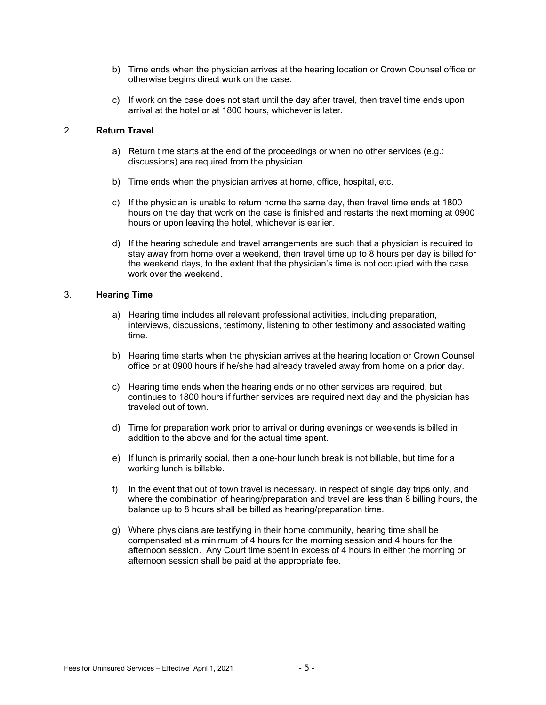- b) Time ends when the physician arrives at the hearing location or Crown Counsel office or otherwise begins direct work on the case.
- c) If work on the case does not start until the day after travel, then travel time ends upon arrival at the hotel or at 1800 hours, whichever is later.

## 2. **Return Travel**

- a) Return time starts at the end of the proceedings or when no other services (e.g.: discussions) are required from the physician.
- b) Time ends when the physician arrives at home, office, hospital, etc.
- c) If the physician is unable to return home the same day, then travel time ends at 1800 hours on the day that work on the case is finished and restarts the next morning at 0900 hours or upon leaving the hotel, whichever is earlier.
- d) If the hearing schedule and travel arrangements are such that a physician is required to stay away from home over a weekend, then travel time up to 8 hours per day is billed for the weekend days, to the extent that the physician's time is not occupied with the case work over the weekend.

## 3. **Hearing Time**

- a) Hearing time includes all relevant professional activities, including preparation, interviews, discussions, testimony, listening to other testimony and associated waiting time.
- b) Hearing time starts when the physician arrives at the hearing location or Crown Counsel office or at 0900 hours if he/she had already traveled away from home on a prior day.
- c) Hearing time ends when the hearing ends or no other services are required, but continues to 1800 hours if further services are required next day and the physician has traveled out of town.
- d) Time for preparation work prior to arrival or during evenings or weekends is billed in addition to the above and for the actual time spent.
- e) If lunch is primarily social, then a one-hour lunch break is not billable, but time for a working lunch is billable.
- f) In the event that out of town travel is necessary, in respect of single day trips only, and where the combination of hearing/preparation and travel are less than 8 billing hours, the balance up to 8 hours shall be billed as hearing/preparation time.
- g) Where physicians are testifying in their home community, hearing time shall be compensated at a minimum of 4 hours for the morning session and 4 hours for the afternoon session. Any Court time spent in excess of 4 hours in either the morning or afternoon session shall be paid at the appropriate fee.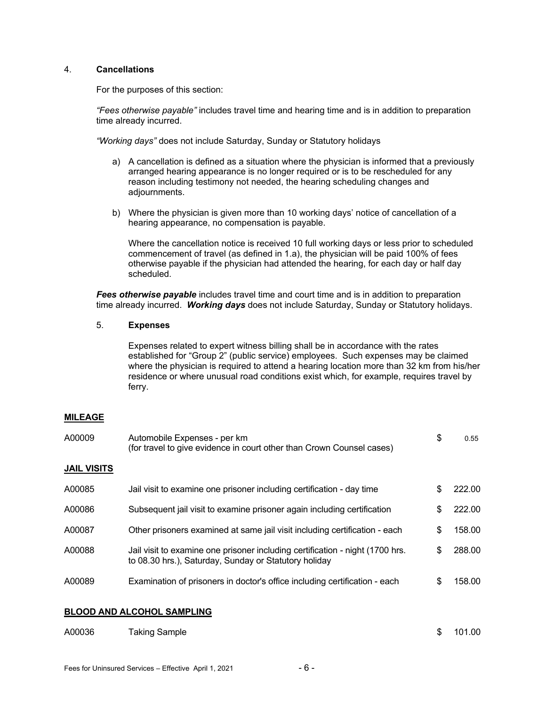## 4. **Cancellations**

For the purposes of this section:

*"Fees otherwise payable"* includes travel time and hearing time and is in addition to preparation time already incurred.

*"Working days"* does not include Saturday, Sunday or Statutory holidays

- a) A cancellation is defined as a situation where the physician is informed that a previously arranged hearing appearance is no longer required or is to be rescheduled for any reason including testimony not needed, the hearing scheduling changes and adjournments.
- b) Where the physician is given more than 10 working days' notice of cancellation of a hearing appearance, no compensation is payable.

Where the cancellation notice is received 10 full working days or less prior to scheduled commencement of travel (as defined in 1.a), the physician will be paid 100% of fees otherwise payable if the physician had attended the hearing, for each day or half day scheduled.

**Fees otherwise payable** includes travel time and court time and is in addition to preparation time already incurred. *Working days* does not include Saturday, Sunday or Statutory holidays.

## 5. **Expenses**

Expenses related to expert witness billing shall be in accordance with the rates established for "Group 2" (public service) employees. Such expenses may be claimed where the physician is required to attend a hearing location more than 32 km from his/her residence or where unusual road conditions exist which, for example, requires travel by ferry.

## **MILEAGE**

| A00009             | Automobile Expenses - per km<br>(for travel to give evidence in court other than Crown Counsel cases)                                  | \$ | 0.55   |
|--------------------|----------------------------------------------------------------------------------------------------------------------------------------|----|--------|
| <b>JAIL VISITS</b> |                                                                                                                                        |    |        |
| A00085             | Jail visit to examine one prisoner including certification - day time                                                                  | S  | 222.00 |
| A00086             | Subsequent jail visit to examine prisoner again including certification                                                                | \$ | 222.00 |
| A00087             | Other prisoners examined at same jail visit including certification - each                                                             | \$ | 158.00 |
| A00088             | Jail visit to examine one prisoner including certification - night (1700 hrs.<br>to 08.30 hrs.), Saturday, Sunday or Statutory holiday | S  | 288.00 |
| A00089             | Examination of prisoners in doctor's office including certification - each                                                             | S  | 158.00 |
|                    | <b>BLOOD AND ALCOHOL SAMPLING</b>                                                                                                      |    |        |
| A00036             | Taking Sample                                                                                                                          | \$ | 101.00 |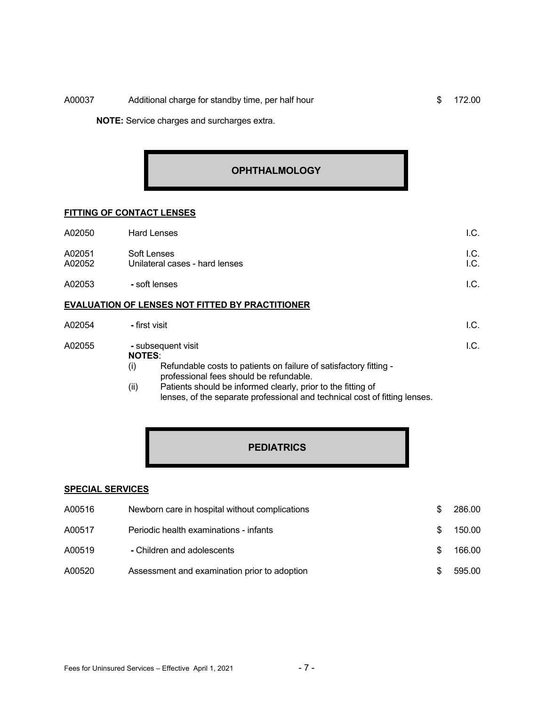# A00037 Additional charge for standby time, per half hour \$ 172.00

**NOTE:** Service charges and surcharges extra.

# **OPHTHALMOLOGY**

## **FITTING OF CONTACT LENSES**

| A02050           | <b>Hard Lenses</b>                                     | 1.C.         |
|------------------|--------------------------------------------------------|--------------|
| A02051<br>A02052 | Soft Lenses<br>Unilateral cases - hard lenses          | I.C.<br>I.C. |
| A02053           | - soft lenses                                          | I.C.         |
|                  | <b>EVALUATION OF LENSES NOT FITTED BY PRACTITIONER</b> |              |
| A02054           | - first visit                                          | I.C.         |

| A02055 | - subsequent visit<br><b>NOTES:</b>                               |  |
|--------|-------------------------------------------------------------------|--|
|        | Refundable costs to patients on failure of satisfactory fitting - |  |
|        | professional fees should be refundable.                           |  |

 (ii) Patients should be informed clearly, prior to the fitting of lenses, of the separate professional and technical cost of fitting lenses.

# **PEDIATRICS**

#### **SPECIAL SERVICES**

| A00516 | Newborn care in hospital without complications | 286.00 |
|--------|------------------------------------------------|--------|
| A00517 | Periodic health examinations - infants         | 150.00 |
| A00519 | - Children and adolescents                     | 166.00 |
| A00520 | Assessment and examination prior to adoption   | 595.00 |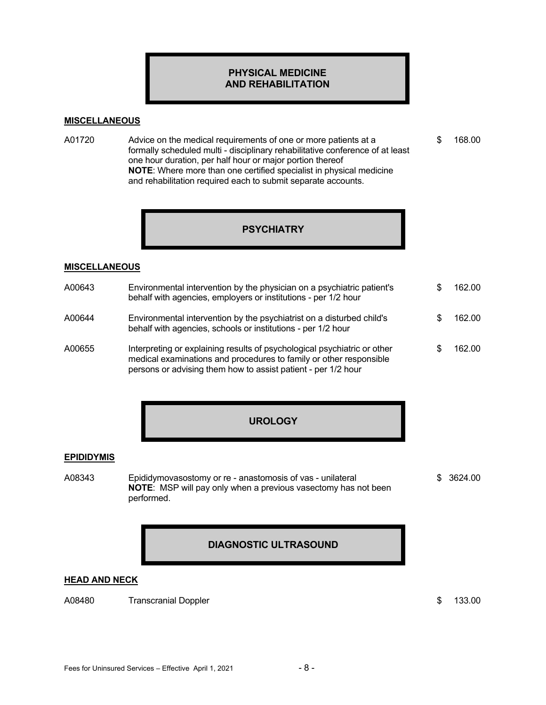## **PHYSICAL MEDICINE AND REHABILITATION**

## **MISCELLANEOUS**

A01720 Advice on the medical requirements of one or more patients at a  $$ 168.00$  formally scheduled multi - disciplinary rehabilitative conference of at least one hour duration, per half hour or major portion thereof **NOTE**: Where more than one certified specialist in physical medicine and rehabilitation required each to submit separate accounts.

# **PSYCHIATRY**

#### **MISCELLANEOUS**

| A00643 | Environmental intervention by the physician on a psychiatric patient's<br>behalf with agencies, employers or institutions - per 1/2 hour                                                                        | 162.00 |
|--------|-----------------------------------------------------------------------------------------------------------------------------------------------------------------------------------------------------------------|--------|
| A00644 | Environmental intervention by the psychiatrist on a disturbed child's<br>behalf with agencies, schools or institutions - per 1/2 hour                                                                           | 162.00 |
| A00655 | Interpreting or explaining results of psychological psychiatric or other<br>medical examinations and procedures to family or other responsible<br>persons or advising them how to assist patient - per 1/2 hour | 162.00 |

# **UROLOGY**

## **EPIDIDYMIS**

A08343 Epididymovasostomy or re - anastomosis of vas - unilateral  $$3624.00$  **NOTE**: MSP will pay only when a previous vasectomy has not been performed.

# **DIAGNOSTIC ULTRASOUND**

#### **HEAD AND NECK**

A08480 Transcranial Doppler **120 Transcranial Doppler** 133.00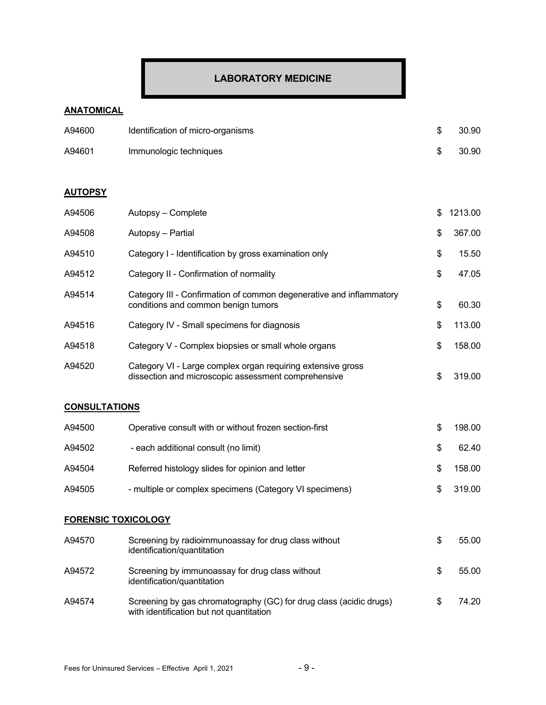# **LABORATORY MEDICINE**

# **ANATOMICAL**

| A94600 | Identification of micro-organisms | 30.90 |
|--------|-----------------------------------|-------|
| A94601 | Immunologic techniques            | 30.90 |

# **AUTOPSY**

| A94506                     | Autopsy - Complete                                                                                                 | \$<br>1213.00 |
|----------------------------|--------------------------------------------------------------------------------------------------------------------|---------------|
| A94508                     | Autopsy - Partial                                                                                                  | \$<br>367.00  |
| A94510                     | Category I - Identification by gross examination only                                                              | \$<br>15.50   |
| A94512                     | Category II - Confirmation of normality                                                                            | \$<br>47.05   |
| A94514                     | Category III - Confirmation of common degenerative and inflammatory<br>conditions and common benign tumors         | \$<br>60.30   |
| A94516                     | Category IV - Small specimens for diagnosis                                                                        | \$<br>113.00  |
| A94518                     | Category V - Complex biopsies or small whole organs                                                                | \$<br>158.00  |
| A94520                     | Category VI - Large complex organ requiring extensive gross<br>dissection and microscopic assessment comprehensive | \$<br>319.00  |
| <b>CONSULTATIONS</b>       |                                                                                                                    |               |
| A94500                     | Operative consult with or without frozen section-first                                                             | \$<br>198.00  |
| A94502                     | - each additional consult (no limit)                                                                               | \$<br>62.40   |
| A94504                     | Referred histology slides for opinion and letter                                                                   | \$<br>158.00  |
| A94505                     | - multiple or complex specimens (Category VI specimens)                                                            | \$<br>319.00  |
| <b>FORENSIC TOXICOLOGY</b> |                                                                                                                    |               |
| A94570                     | Screening by radioimmunoassay for drug class without<br>identification/quantitation                                | \$<br>55.00   |
| A94572                     | Screening by immunoassay for drug class without                                                                    | \$<br>55.00   |

A94574 Screening by gas chromatography (GC) for drug class (acidic drugs) \$ 74.20 with identification but not quantitation

identification/quantitation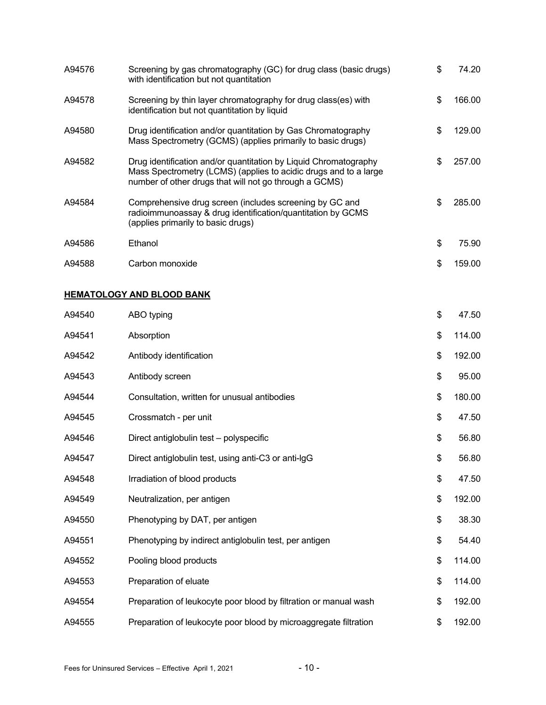| A94576 | Screening by gas chromatography (GC) for drug class (basic drugs)<br>with identification but not quantitation                                                                                  | \$  | 74.20  |
|--------|------------------------------------------------------------------------------------------------------------------------------------------------------------------------------------------------|-----|--------|
| A94578 | Screening by thin layer chromatography for drug class(es) with<br>identification but not quantitation by liquid                                                                                | \$  | 166.00 |
| A94580 | Drug identification and/or quantitation by Gas Chromatography<br>Mass Spectrometry (GCMS) (applies primarily to basic drugs)                                                                   | \$. | 129.00 |
| A94582 | Drug identification and/or quantitation by Liquid Chromatography<br>Mass Spectrometry (LCMS) (applies to acidic drugs and to a large<br>number of other drugs that will not go through a GCMS) | \$  | 257.00 |
| A94584 | Comprehensive drug screen (includes screening by GC and<br>radioimmunoassay & drug identification/quantitation by GCMS<br>(applies primarily to basic drugs)                                   | \$  | 285.00 |
| A94586 | Ethanol                                                                                                                                                                                        | \$  | 75.90  |
| A94588 | Carbon monoxide                                                                                                                                                                                | \$  | 159.00 |

# **HEMATOLOGY AND BLOOD BANK**

| A94540 | ABO typing                                                       | \$<br>47.50  |
|--------|------------------------------------------------------------------|--------------|
| A94541 | Absorption                                                       | \$<br>114.00 |
| A94542 | Antibody identification                                          | \$<br>192.00 |
| A94543 | Antibody screen                                                  | \$<br>95.00  |
| A94544 | Consultation, written for unusual antibodies                     | \$<br>180.00 |
| A94545 | Crossmatch - per unit                                            | \$<br>47.50  |
| A94546 | Direct antiglobulin test - polyspecific                          | \$<br>56.80  |
| A94547 | Direct antiglobulin test, using anti-C3 or anti-IgG              | \$<br>56.80  |
| A94548 | Irradiation of blood products                                    | \$<br>47.50  |
| A94549 | Neutralization, per antigen                                      | \$<br>192.00 |
| A94550 | Phenotyping by DAT, per antigen                                  | \$<br>38.30  |
| A94551 | Phenotyping by indirect antiglobulin test, per antigen           | \$<br>54.40  |
| A94552 | Pooling blood products                                           | \$<br>114.00 |
| A94553 | Preparation of eluate                                            | \$<br>114.00 |
| A94554 | Preparation of leukocyte poor blood by filtration or manual wash | \$<br>192.00 |
| A94555 | Preparation of leukocyte poor blood by microaggregate filtration | \$<br>192.00 |